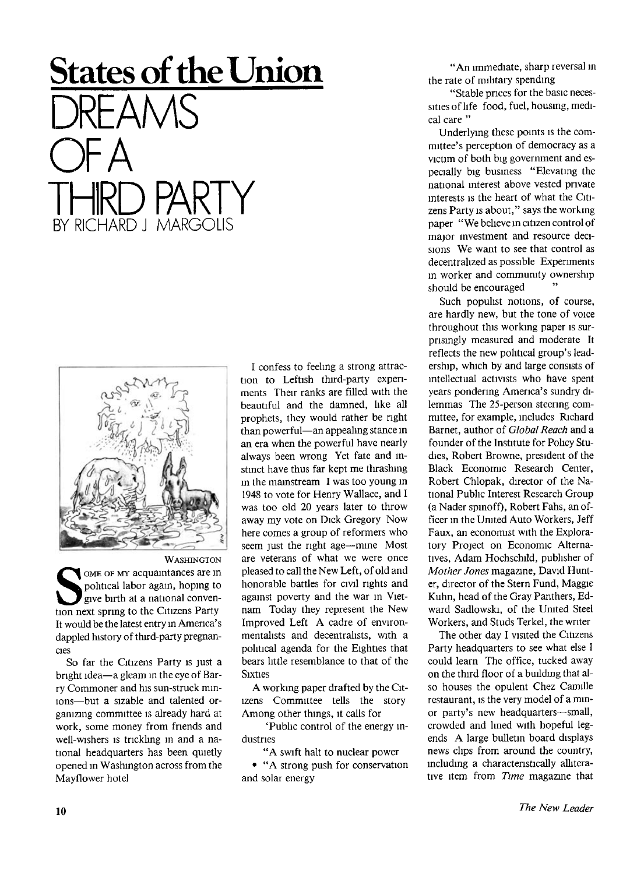## **States of the Union**  DREAMS OF A THRD PARTY BY RICHARD J MARGOLIS



**WASHINGTON** WASHINGTON<br>
political labor again, hoping to<br>
give birth at a national conven-<br>
tion next spring to the Citizens Party OME OF MY acquaintances are in political labor again, hoping to give birth at a national conven-It would be the latest entry in America's dappled history of third-party pregnancies

So far the Citizens Party is just a bright idea—a gleam in the eye of Barry Commoner and his sun-struck minions—but a sizable and talented organizing committee is already hard at work, some money from friends and well-wishers is trickling in and a national headquarters has been quietly opened in Washington across from the Mayflower hotel

I confess to feeling a strong attraction to Leftish third-party experiments Their ranks are filled with the beautiful and the damned, like all prophets, they would rather be right than powerful—an appealing stance in an era when the powerful have nearly always been wrong Yet fate and instinct have thus far kept me thrashing in the mainstream I was too young in 1948 to vote for Henry Wallace, and I was too old 20 years later to throw away my vote on Dick Gregory Now here comes a group of reformers who seem just the right age—mine Most are veterans of what we were once pleased to call the New Left, of old and honorable battles for civil rights and against poverty and the war in Vietnam Today they represent the New Improved Left A cadre of environmentalists and decentrahsts, with a political agenda for the Eighties that bears little resemblance to that of the Sixties

A working paper drafted by the Citizens Committee tells the story Among other things, it calls for

'Public control of the energy industries

"A swift halt to nuclear power

• "A strong push for conservation and solar energy

"An immediate, sharp reversal in the rate of military spending

"Stable prices for the basic necessities of life food, fuel, housing, medical care "

Underlying these points is the committee's perception of democracy as a victim of both big government and especially big business "Elevating the national interest above vested private interests is the heart of what the Citizens Party is about," says the working paper " We believe in citizen control of major investment and resource decisions We want to see that control as decentralized as possible Experiments in worker and community ownership should be encouraged

Such populist notions, of course, are hardly new, but the tone of voice throughout this working paper is surprisingly measured and moderate It reflects the new political group's leadership, which by and large consists of intellectual activists who have spent years pondering America's sundry dilemmas The 25-person steering committee, for example, includes Richard Barnet, author of *Global Reach* and a founder of the Institute for Policy Studies, Robert Browne, president of the Black Economic Research Center, Robert Chlopak, director of the National Public Interest Research Group (a Nader spinoff), Robert Fahs, an officer in the United Auto Workers, Jeff Faux, an economist with the Exploratory Project on Economic Alternatives, Adam Hochschild, publisher of *Mother Jones* magazine, David Hunter, director of the Stern Fund, Maggie Kuhn, head of the Gray Panthers, Edward Sadlowski, of the United Steel Workers, and Studs Terkel, the writer

The other day I visited the Citizens Party headquarters to see what else I could learn The office, tucked away on the third floor of a building that also houses the opulent Chez Camille restaurant, is the very model of a minor party's new headquarters—small, crowded and lined with hopeful legends A large bulletin board displays news clips from around the country, including a characteristically alliterative item from *Time* magazine that